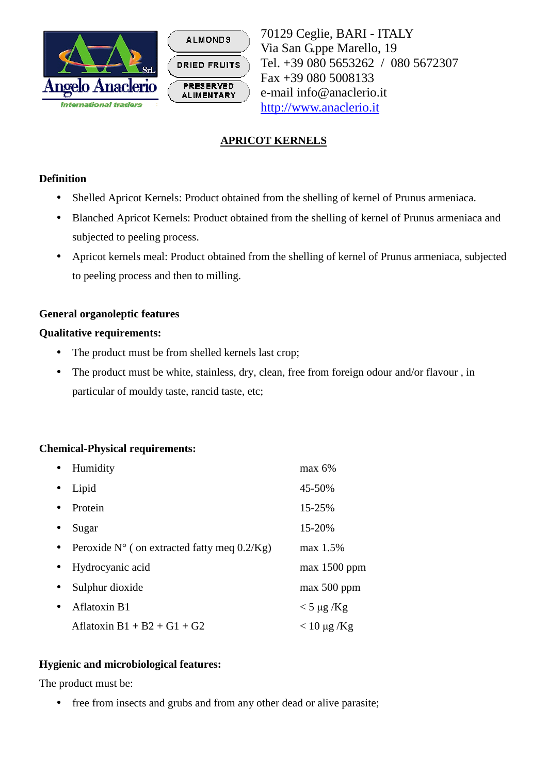



70129 Ceglie, BARI - ITALY Via San G.ppe Marello, 19 Tel. +39 080 5653262 / 080 5672307 Fax +39 080 5008133 e-mail info@anaclerio.it http://www.anaclerio.it

# **APRICOT KERNELS**

## **Definition**

- Shelled Apricot Kernels: Product obtained from the shelling of kernel of Prunus armeniaca.
- Blanched Apricot Kernels: Product obtained from the shelling of kernel of Prunus armeniaca and subjected to peeling process.
- Apricot kernels meal: Product obtained from the shelling of kernel of Prunus armeniaca, subjected to peeling process and then to milling.

## **General organoleptic features**

#### **Qualitative requirements:**

- The product must be from shelled kernels last crop;
- The product must be white, stainless, dry, clean, free from foreign odour and/or flavour, in particular of mouldy taste, rancid taste, etc;

# **Chemical-Physical requirements:**

| Humidity                                              | $max 6\%$        |
|-------------------------------------------------------|------------------|
| Lipid                                                 | 45-50%           |
| Protein                                               | 15-25%           |
| Sugar                                                 | 15-20%           |
| Peroxide $N^{\circ}$ ( on extracted fatty meq 0.2/Kg) | max 1.5%         |
| Hydrocyanic acid                                      | $max$ 1500 ppm   |
| Sulphur dioxide                                       | $max 500$ ppm    |
| Aflatoxin B1                                          | $<$ 5 µg /Kg     |
| Aflatoxin $B1 + B2 + G1 + G2$                         | $< 10 \mu$ g /Kg |

# **Hygienic and microbiological features:**

The product must be:

• free from insects and grubs and from any other dead or alive parasite;